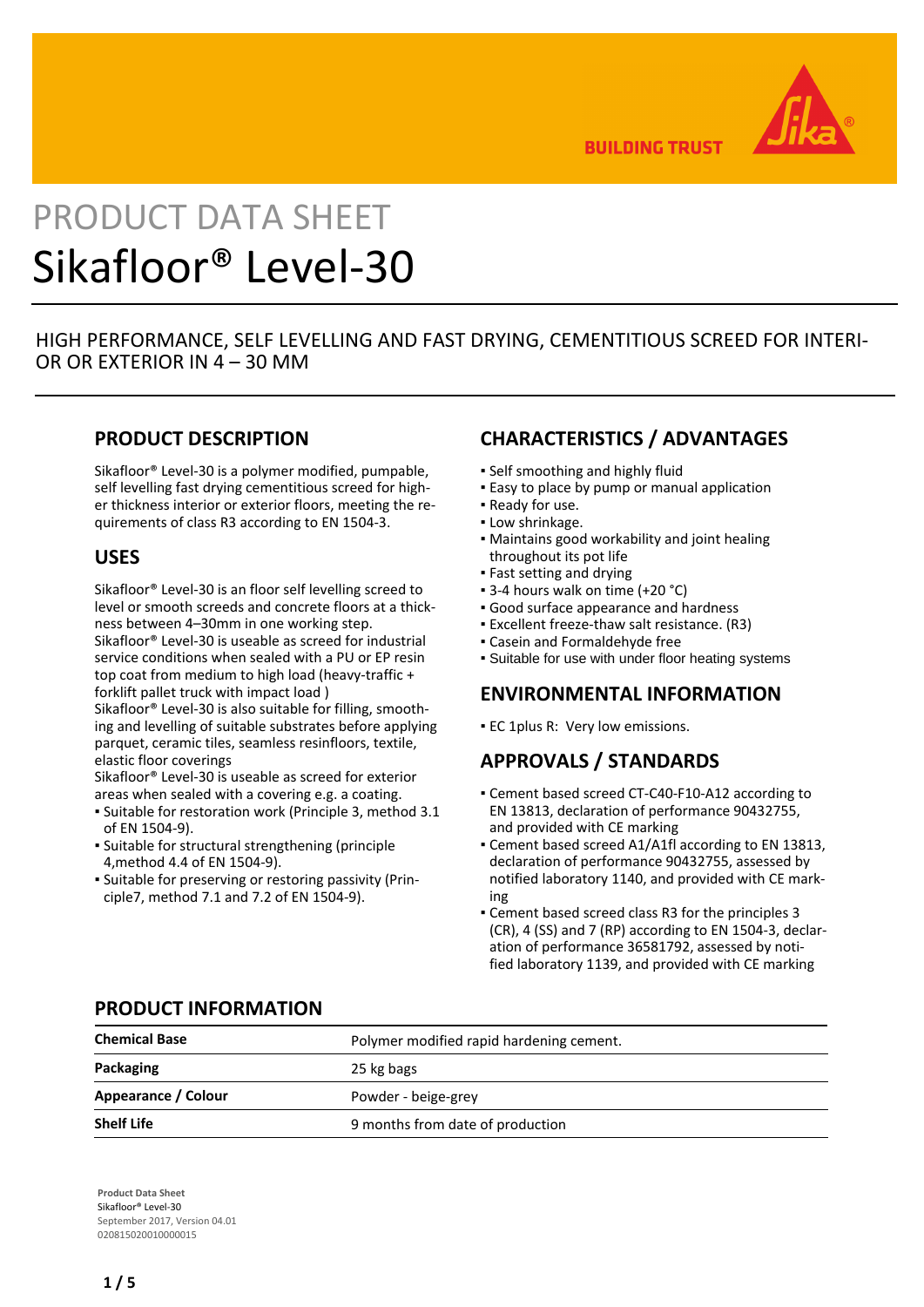

**BUILDING TRUST** 

# PRODUCT DATA SHEET Sikafloor® Level-30

HIGH PERFORMANCE, SELF LEVELLING AND FAST DRYING, CEMENTITIOUS SCREED FOR INTERI-OR OR EXTERIOR IN 4 – 30 MM

## **PRODUCT DESCRIPTION**

Sikafloor® Level-30 is a polymer modified, pumpable, self levelling fast drying cementitious screed for higher thickness interior or exterior floors, meeting the requirements of class R3 according to EN 1504-3.

## **USES**

Sikafloor® Level-30 is an floor self levelling screed to level or smooth screeds and concrete floors at a thickness between 4–30mm in one working step. Sikafloor® Level-30 is useable as screed for industrial service conditions when sealed with a PU or EP resin top coat from medium to high load (heavy-traffic + forklift pallet truck with impact load ) Sikafloor® Level-30 is also suitable for filling, smoothing and levelling of suitable substrates before applying

parquet, ceramic tiles, seamless resinfloors, textile, elastic floor coverings

Sikafloor® Level-30 is useable as screed for exterior areas when sealed with a covering e.g. a coating.

- Suitable for restoration work (Principle 3, method 3.1 of EN 1504-9).
- **·** Suitable for structural strengthening (principle 4,method 4.4 of EN 1504-9).
- Suitable for preserving or restoring passivity (Prin-▪ ciple7, method 7.1 and 7.2 of EN 1504-9).

## **CHARACTERISTICS / ADVANTAGES**

- **.** Self smoothing and highly fluid
- **Easy to place by pump or manual application**
- Ready for use.
- **.** Low shrinkage.
- Maintains good workability and joint healing throughout its pot life
- Fast setting and drying
- 3-4 hours walk on time (+20 °C)
- Good surface appearance and hardness
- Excellent freeze-thaw salt resistance. (R3)
- Casein and Formaldehyde free
- **Suitable for use with under floor heating systems**

# **ENVIRONMENTAL INFORMATION**

**EC 1plus R: Very low emissions.** 

# **APPROVALS / STANDARDS**

- Cement based screed CT-C40-F10-A12 according to EN 13813, declaration of performance 90432755, and provided with CE marking
- Cement based screed A1/A1fl according to EN 13813, declaration of performance 90432755, assessed by notified laboratory 1140, and provided with CE marking
- Cement based screed class R3 for the principles 3 (CR), 4 (SS) and 7 (RP) according to EN 1504-3, declaration of performance 36581792, assessed by notified laboratory 1139, and provided with CE marking

## **PRODUCT INFORMATION**

| <b>Chemical Base</b> | Polymer modified rapid hardening cement. |  |
|----------------------|------------------------------------------|--|
| Packaging            | 25 kg bags                               |  |
| Appearance / Colour  | Powder - beige-grey                      |  |
| <b>Shelf Life</b>    | 9 months from date of production         |  |

**Product Data Sheet** Sikafloor® Level-30 September 2017, Version 04.01 020815020010000015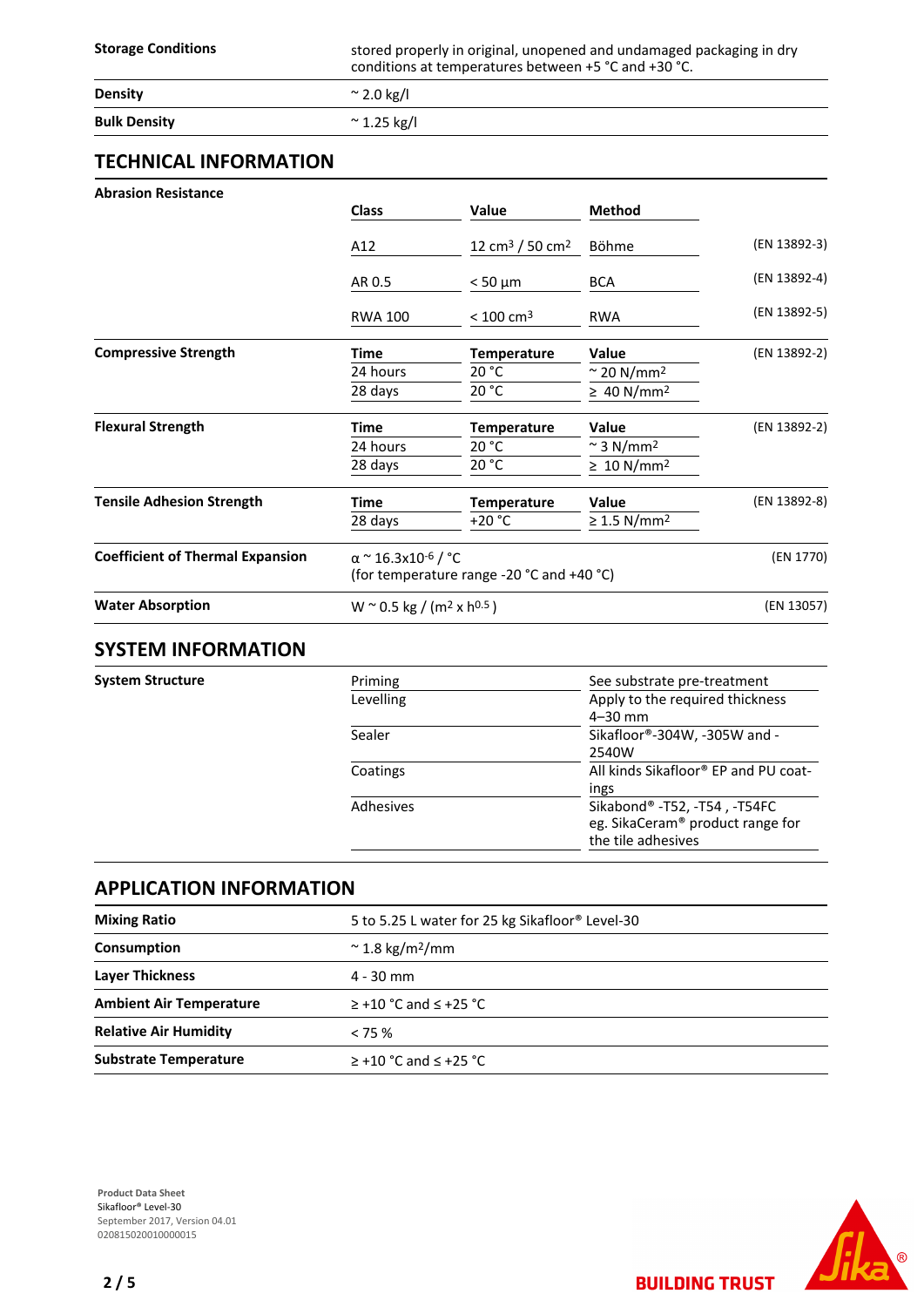**Storage Conditions** stored properly in original, unopened and undamaged packaging in dry conditions at temperatures between +5 °C and +30 °C.

| <b>Density</b>      | $\sim$ 2.0 kg/l  |
|---------------------|------------------|
| <b>Bulk Density</b> | $\sim$ 1.25 kg/l |

## **TECHNICAL INFORMATION**

| <b>Abrasion Resistance</b>              |                                                        |                                           |                                |              |
|-----------------------------------------|--------------------------------------------------------|-------------------------------------------|--------------------------------|--------------|
|                                         | <b>Class</b>                                           | <b>Value</b>                              | <b>Method</b>                  |              |
|                                         | A12                                                    | 12 cm <sup>3</sup> / 50 cm <sup>2</sup>   | Böhme                          | (EN 13892-3) |
|                                         | AR 0.5                                                 | $< 50 \mu m$                              | <b>BCA</b>                     | (EN 13892-4) |
|                                         | <b>RWA 100</b>                                         | $< 100 \text{ cm}^3$                      | <b>RWA</b>                     | (EN 13892-5) |
| <b>Compressive Strength</b>             | Time                                                   | <b>Temperature</b>                        | <b>Value</b>                   | (EN 13892-2) |
|                                         | 24 hours                                               | 20 °C                                     | $\approx$ 20 N/mm <sup>2</sup> |              |
|                                         | 28 days                                                | 20 °C                                     | $\geq 40$ N/mm <sup>2</sup>    |              |
| <b>Flexural Strength</b>                | Time                                                   | <b>Temperature</b>                        | <b>Value</b>                   | (EN 13892-2) |
|                                         | 24 hours                                               | 20 °C                                     | $\approx$ 3 N/mm <sup>2</sup>  |              |
|                                         | 28 days                                                | 20 °C                                     | $\geq 10$ N/mm <sup>2</sup>    |              |
| <b>Tensile Adhesion Strength</b>        | Time                                                   | <b>Temperature</b>                        | <b>Value</b>                   | (EN 13892-8) |
|                                         | 28 days                                                | $+20 °C$                                  | $\geq$ 1.5 N/mm <sup>2</sup>   |              |
| <b>Coefficient of Thermal Expansion</b> | α ~ 16.3x10 <sup>-6</sup> / °C                         |                                           |                                | (EN 1770)    |
|                                         |                                                        | (for temperature range -20 °C and +40 °C) |                                |              |
| <b>Water Absorption</b>                 | W $\sim$ 0.5 kg / (m <sup>2</sup> x h <sup>0.5</sup> ) |                                           | (EN 13057)                     |              |
| CVCTERA INIFODRAATIONI                  |                                                        |                                           |                                |              |

## **SYSTEM INFORMATION**

**System Structure** 

| See substrate pre-treatment          |
|--------------------------------------|
| Apply to the required thickness      |
| $4 - 30$ mm                          |
| Sikafloor®-304W, -305W and -         |
| 2540W                                |
| All kinds Sikafloor® EP and PU coat- |
| ings                                 |
| Sikabond®-T52, -T54, -T54FC          |
| eg. SikaCeram® product range for     |
| the tile adhesives                   |
|                                      |

## **APPLICATION INFORMATION**

| <b>Mixing Ratio</b>            | 5 to 5.25 L water for 25 kg Sikafloor® Level-30 |  |
|--------------------------------|-------------------------------------------------|--|
| Consumption                    | $\approx$ 1.8 kg/m <sup>2</sup> /mm             |  |
| <b>Layer Thickness</b>         | $4 - 30$ mm                                     |  |
| <b>Ambient Air Temperature</b> | $\ge$ +10 °C and $\le$ +25 °C                   |  |
| <b>Relative Air Humidity</b>   | $< 75 \%$                                       |  |
| <b>Substrate Temperature</b>   | $\ge$ +10 °C and $\le$ +25 °C                   |  |



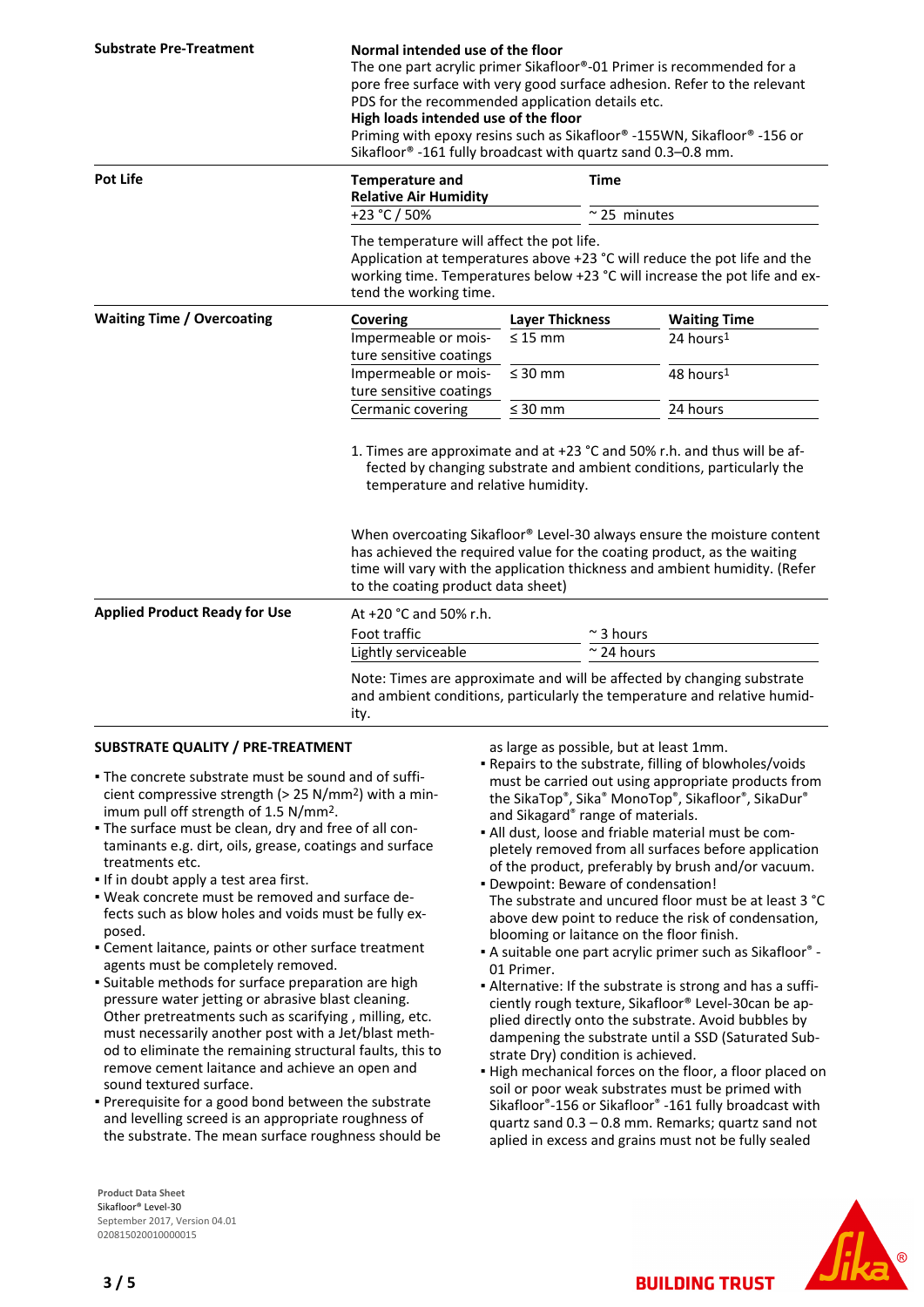| <b>Substrate Pre-Treatment</b>       | Normal intended use of the floor<br>The one part acrylic primer Sikafloor®-01 Primer is recommended for a<br>pore free surface with very good surface adhesion. Refer to the relevant<br>PDS for the recommended application details etc.<br>High loads intended use of the floor<br>Priming with epoxy resins such as Sikafloor® -155WN, Sikafloor® -156 or<br>Sikafloor® -161 fully broadcast with quartz sand 0.3-0.8 mm.                                      |                        |                       |  |
|--------------------------------------|-------------------------------------------------------------------------------------------------------------------------------------------------------------------------------------------------------------------------------------------------------------------------------------------------------------------------------------------------------------------------------------------------------------------------------------------------------------------|------------------------|-----------------------|--|
| <b>Pot Life</b>                      | <b>Temperature and</b><br><b>Relative Air Humidity</b>                                                                                                                                                                                                                                                                                                                                                                                                            |                        | <b>Time</b>           |  |
|                                      | +23 °C / 50%                                                                                                                                                                                                                                                                                                                                                                                                                                                      |                        | $~^{\sim}$ 25 minutes |  |
|                                      | The temperature will affect the pot life.<br>Application at temperatures above +23 °C will reduce the pot life and the<br>working time. Temperatures below +23 °C will increase the pot life and ex-<br>tend the working time.                                                                                                                                                                                                                                    |                        |                       |  |
| <b>Waiting Time / Overcoating</b>    | Covering                                                                                                                                                                                                                                                                                                                                                                                                                                                          | <b>Layer Thickness</b> | <b>Waiting Time</b>   |  |
|                                      | Impermeable or mois-<br>ture sensitive coatings                                                                                                                                                                                                                                                                                                                                                                                                                   | $\leq 15$ mm           | 24 hours <sup>1</sup> |  |
|                                      | Impermeable or mois-<br>ture sensitive coatings                                                                                                                                                                                                                                                                                                                                                                                                                   | $\leq 30$ mm           | 48 hours <sup>1</sup> |  |
|                                      | Cermanic covering                                                                                                                                                                                                                                                                                                                                                                                                                                                 | $\leq 30$ mm           | 24 hours              |  |
|                                      | 1. Times are approximate and at +23 °C and 50% r.h. and thus will be af-<br>fected by changing substrate and ambient conditions, particularly the<br>temperature and relative humidity.<br>When overcoating Sikafloor® Level-30 always ensure the moisture content<br>has achieved the required value for the coating product, as the waiting<br>time will vary with the application thickness and ambient humidity. (Refer<br>to the coating product data sheet) |                        |                       |  |
| <b>Applied Product Ready for Use</b> | At +20 °C and 50% r.h.                                                                                                                                                                                                                                                                                                                                                                                                                                            |                        |                       |  |
|                                      | Foot traffic                                                                                                                                                                                                                                                                                                                                                                                                                                                      |                        | $\approx$ 3 hours     |  |
|                                      | Lightly serviceable                                                                                                                                                                                                                                                                                                                                                                                                                                               |                        | $\approx$ 24 hours    |  |
|                                      | Note: Times are approximate and will be affected by changing substrate<br>and ambient conditions, particularly the temperature and relative humid-<br>ity.                                                                                                                                                                                                                                                                                                        |                        |                       |  |

## **SUBSTRATE QUALITY / PRE-TREATMENT**

- The concrete substrate must be sound and of suffi-▪ cient compressive strength (> 25 N/mm2) with a minimum pull off strength of 1.5 N/mm2.
- The surface must be clean, dry and free of all con-▪ taminants e.g. dirt, oils, grease, coatings and surface treatments etc.
- **.** If in doubt apply a test area first.
- Weak concrete must be removed and surface de-▪ fects such as blow holes and voids must be fully exposed.
- Cement laitance, paints or other surface treatment agents must be completely removed.
- **·** Suitable methods for surface preparation are high pressure water jetting or abrasive blast cleaning. Other pretreatments such as scarifying , milling, etc. must necessarily another post with a Jet/blast method to eliminate the remaining structural faults, this to remove cement laitance and achieve an open and sound textured surface.
- **Prerequisite for a good bond between the substrate** and levelling screed is an appropriate roughness of the substrate. The mean surface roughness should be

**Product Data Sheet** Sikafloor® Level-30 September 2017, Version 04.01 020815020010000015

as large as possible, but at least 1mm.

- Repairs to the substrate, filling of blowholes/voids must be carried out using appropriate products from the SikaTop®, Sika® MonoTop®, Sikafloor®, SikaDur® and Sikagard® range of materials.
- All dust, loose and friable material must be com-▪ pletely removed from all surfaces before application of the product, preferably by brush and/or vacuum.
- Dewpoint: Beware of condensation! The substrate and uncured floor must be at least 3 °C above dew point to reduce the risk of condensation, blooming or laitance on the floor finish.
- A suitable one part acrylic primer such as Sikafloor® ▪ 01 Primer.
- Alternative: If the substrate is strong and has a suffi-▪ ciently rough texture, Sikafloor® Level-30can be applied directly onto the substrate. Avoid bubbles by dampening the substrate until a SSD (Saturated Substrate Dry) condition is achieved.
- High mechanical forces on the floor, a floor placed on soil or poor weak substrates must be primed with Sikafloor®-156 or Sikafloor® -161 fully broadcast with quartz sand 0.3 – 0.8 mm. Remarks; quartz sand not aplied in excess and grains must not be fully sealed

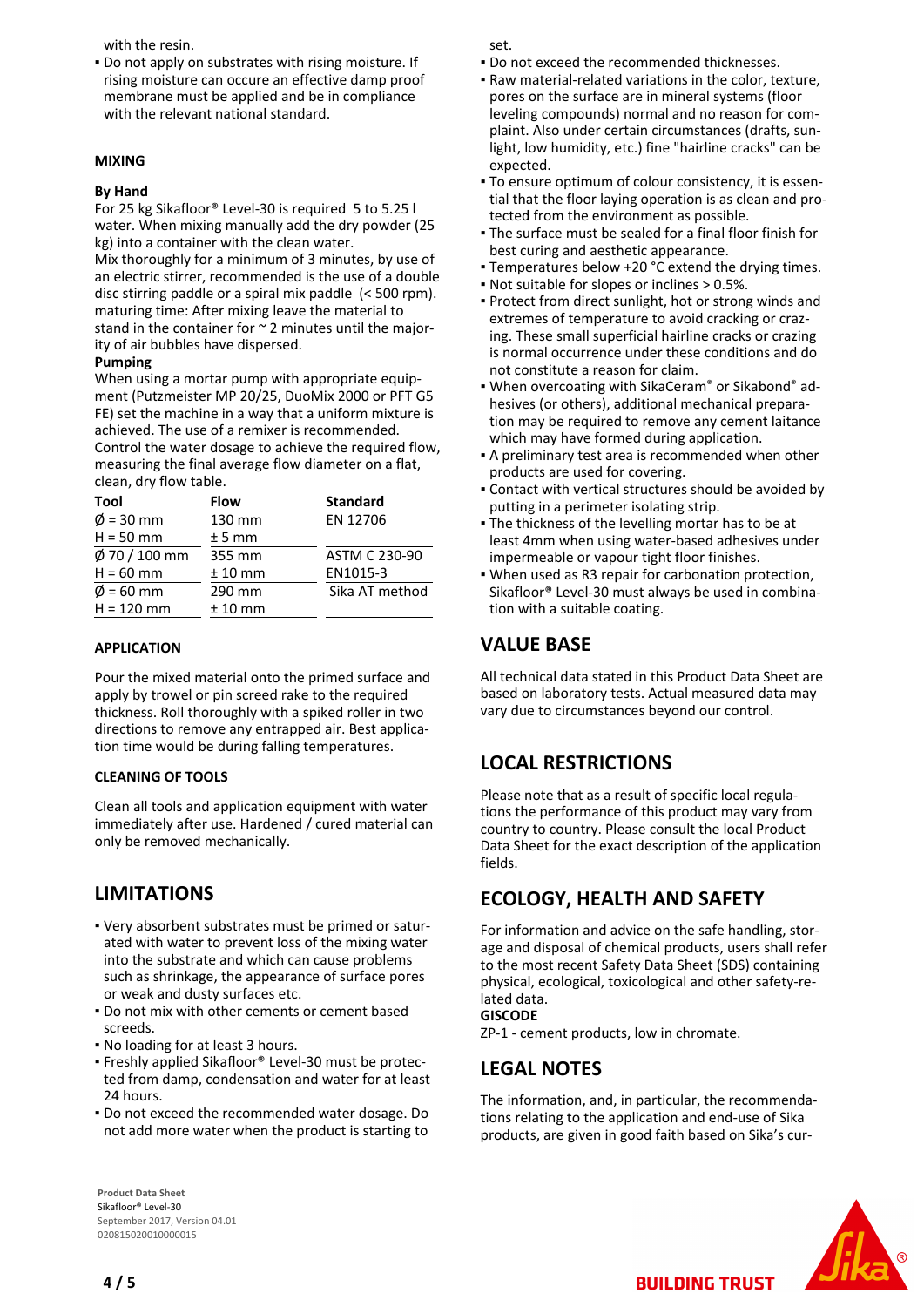with the resin.

**• Do not apply on substrates with rising moisture. If** rising moisture can occure an effective damp proof membrane must be applied and be in compliance with the relevant national standard.

#### **MIXING**

#### **By Hand**

For 25 kg Sikafloor® Level-30 is required 5 to 5.25 l water. When mixing manually add the dry powder (25 kg) into a container with the clean water. Mix thoroughly for a minimum of 3 minutes, by use of an electric stirrer, recommended is the use of a double disc stirring paddle or a spiral mix paddle (< 500 rpm).

maturing time: After mixing leave the material to stand in the container for  $\sim$  2 minutes until the majority of air bubbles have dispersed.

#### **Pumping**

When using a mortar pump with appropriate equipment (Putzmeister MP 20/25, DuoMix 2000 or PFT G5 FE) set the machine in a way that a uniform mixture is achieved. The use of a remixer is recommended. Control the water dosage to achieve the required flow, measuring the final average flow diameter on a flat, clean, dry flow table.

| Tool                  | Flow      | <b>Standard</b>      |
|-----------------------|-----------|----------------------|
| $\varnothing$ = 30 mm | 130 mm    | EN 12706             |
| $H = 50$ mm           | $± 5$ mm  |                      |
| $\phi$ 70 / 100 mm    | 355 mm    | <b>ASTM C 230-90</b> |
| $H = 60$ mm           | $± 10$ mm | EN1015-3             |
| $\phi$ = 60 mm        | 290 mm    | Sika AT method       |
| $H = 120$ mm          | $± 10$ mm |                      |

#### **APPLICATION**

Pour the mixed material onto the primed surface and apply by trowel or pin screed rake to the required thickness. Roll thoroughly with a spiked roller in two directions to remove any entrapped air. Best application time would be during falling temperatures.

#### **CLEANING OF TOOLS**

Clean all tools and application equipment with water immediately after use. Hardened / cured material can only be removed mechanically.

# **LIMITATIONS**

- Very absorbent substrates must be primed or satur-▪ ated with water to prevent loss of the mixing water into the substrate and which can cause problems such as shrinkage, the appearance of surface pores or weak and dusty surfaces etc.
- **Do not mix with other cements or cement based** screeds.
- No loading for at least 3 hours.
- Freshly applied Sikafloor® Level-30 must be protec-▪ ted from damp, condensation and water for at least 24 hours.
- Do not exceed the recommended water dosage. Do not add more water when the product is starting to

**Product Data Sheet** Sikafloor® Level-30 September 2017, Version 04.01 020815020010000015

set.

- Do not exceed the recommended thicknesses.
- Raw material-related variations in the color, texture, pores on the surface are in mineral systems (floor leveling compounds) normal and no reason for complaint. Also under certain circumstances (drafts, sunlight, low humidity, etc.) fine "hairline cracks" can be expected.
- To ensure optimum of colour consistency, it is essen-▪ tial that the floor laying operation is as clean and protected from the environment as possible.
- The surface must be sealed for a final floor finish for best curing and aesthetic appearance.
- Temperatures below +20 °C extend the drying times.
- Not suitable for slopes or inclines > 0.5%.
- Protect from direct sunlight, hot or strong winds and extremes of temperature to avoid cracking or crazing. These small superficial hairline cracks or crazing is normal occurrence under these conditions and do not constitute a reason for claim.
- . When overcoating with SikaCeram® or Sikabond® adhesives (or others), additional mechanical preparation may be required to remove any cement laitance which may have formed during application.
- A preliminary test area is recommended when other products are used for covering.
- Contact with vertical structures should be avoided by putting in a perimeter isolating strip.
- **The thickness of the levelling mortar has to be at** least 4mm when using water-based adhesives under impermeable or vapour tight floor finishes.
- When used as R3 repair for carbonation protection, Sikafloor® Level-30 must always be used in combination with a suitable coating.

## **VALUE BASE**

All technical data stated in this Product Data Sheet are based on laboratory tests. Actual measured data may vary due to circumstances beyond our control.

# **LOCAL RESTRICTIONS**

Please note that as a result of specific local regulations the performance of this product may vary from country to country. Please consult the local Product Data Sheet for the exact description of the application fields.

## **ECOLOGY, HEALTH AND SAFETY**

For information and advice on the safe handling, storage and disposal of chemical products, users shall refer to the most recent Safety Data Sheet (SDS) containing physical, ecological, toxicological and other safety-related data.

## **GISCODE**

ZP-1 - cement products, low in chromate.

## **LEGAL NOTES**

The information, and, in particular, the recommendations relating to the application and end-use of Sika products, are given in good faith based on Sika's cur-